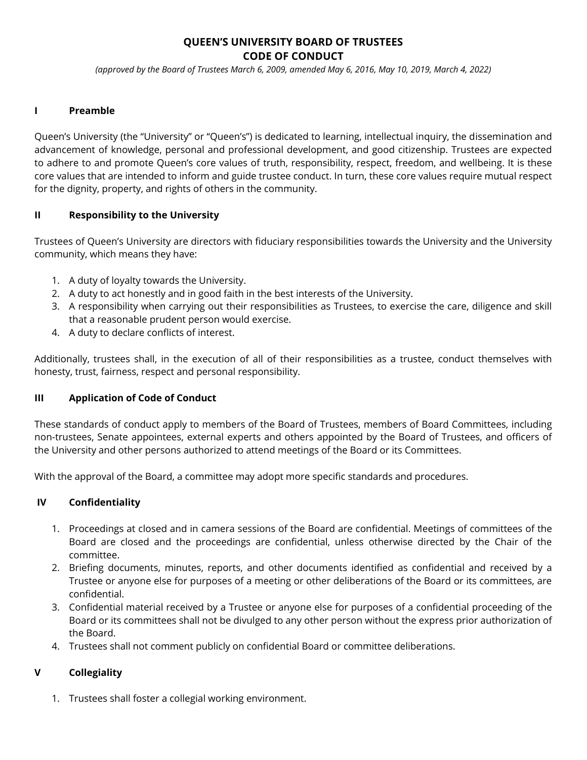# **QUEEN'S UNIVERSITY BOARD OF TRUSTEES CODE OF CONDUCT**

*(approved by the Board of Trustees March 6, 2009, amended May 6, 2016, May 10, 2019, March 4, 2022)*

# **I Preamble**

Queen's University (the "University" or "Queen's") is dedicated to learning, intellectual inquiry, the dissemination and advancement of knowledge, personal and professional development, and good citizenship. Trustees are expected to adhere to and promote Queen's core values of truth, responsibility, respect, freedom, and wellbeing. It is these core values that are intended to inform and guide trustee conduct. In turn, these core values require mutual respect for the dignity, property, and rights of others in the community.

#### **II Responsibility to the University**

Trustees of Queen's University are directors with fiduciary responsibilities towards the University and the University community, which means they have:

- 1. A duty of loyalty towards the University.
- 2. A duty to act honestly and in good faith in the best interests of the University.
- 3. A responsibility when carrying out their responsibilities as Trustees, to exercise the care, diligence and skill that a reasonable prudent person would exercise.
- 4. A duty to declare conflicts of interest.

Additionally, trustees shall, in the execution of all of their responsibilities as a trustee, conduct themselves with honesty, trust, fairness, respect and personal responsibility.

# **III Application of Code of Conduct**

These standards of conduct apply to members of the Board of Trustees, members of Board Committees, including non-trustees, Senate appointees, external experts and others appointed by the Board of Trustees, and officers of the University and other persons authorized to attend meetings of the Board or its Committees.

With the approval of the Board, a committee may adopt more specific standards and procedures.

#### **IV Confidentiality**

- 1. Proceedings at closed and in camera sessions of the Board are confidential. Meetings of committees of the Board are closed and the proceedings are confidential, unless otherwise directed by the Chair of the committee.
- 2. Briefing documents, minutes, reports, and other documents identified as confidential and received by a Trustee or anyone else for purposes of a meeting or other deliberations of the Board or its committees, are confidential.
- 3. Confidential material received by a Trustee or anyone else for purposes of a confidential proceeding of the Board or its committees shall not be divulged to any other person without the express prior authorization of the Board.
- 4. Trustees shall not comment publicly on confidential Board or committee deliberations.

# **V Collegiality**

1. Trustees shall foster a collegial working environment.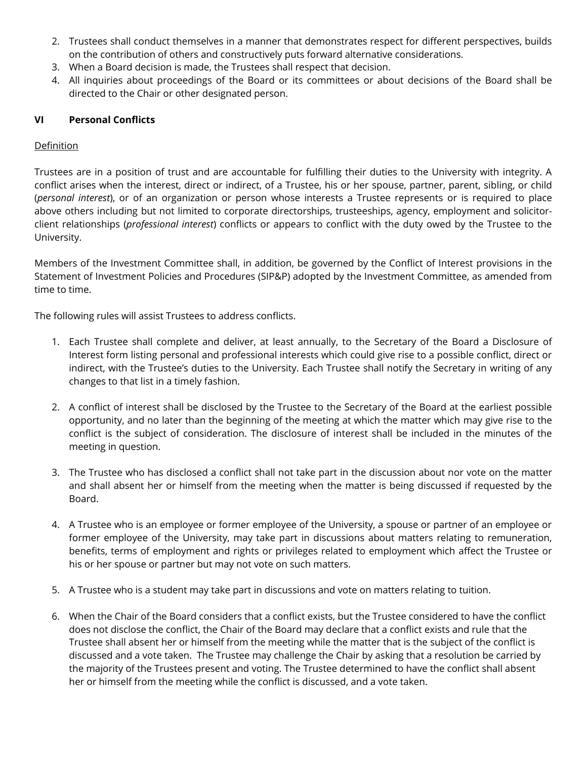- 2. Trustees shall conduct themselves in a manner that demonstrates respect for different perspectives, builds on the contribution of others and constructively puts forward alternative considerations.
- 3. When a Board decision is made, the Trustees shall respect that decision.
- 4. All inquiries about proceedings of the Board or its committees or about decisions of the Board shall be directed to the Chair or other designated person.

# **VI Personal Conflicts**

## **Definition**

Trustees are in a position of trust and are accountable for fulfilling their duties to the University with integrity. A conflict arises when the interest, direct or indirect, of a Trustee, his or her spouse, partner, parent, sibling, or child (*personal interest*), or of an organization or person whose interests a Trustee represents or is required to place above others including but not limited to corporate directorships, trusteeships, agency, employment and solicitorclient relationships (*professional interest*) conflicts or appears to conflict with the duty owed by the Trustee to the University.

Members of the Investment Committee shall, in addition, be governed by the Conflict of Interest provisions in the Statement of Investment Policies and Procedures (SIP&P) adopted by the Investment Committee, as amended from time to time.

The following rules will assist Trustees to address conflicts.

- 1. Each Trustee shall complete and deliver, at least annually, to the Secretary of the Board a Disclosure of Interest form listing personal and professional interests which could give rise to a possible conflict, direct or indirect, with the Trustee's duties to the University. Each Trustee shall notify the Secretary in writing of any changes to that list in a timely fashion.
- 2. A conflict of interest shall be disclosed by the Trustee to the Secretary of the Board at the earliest possible opportunity, and no later than the beginning of the meeting at which the matter which may give rise to the conflict is the subject of consideration. The disclosure of interest shall be included in the minutes of the meeting in question.
- 3. The Trustee who has disclosed a conflict shall not take part in the discussion about nor vote on the matter and shall absent her or himself from the meeting when the matter is being discussed if requested by the Board.
- 4. A Trustee who is an employee or former employee of the University, a spouse or partner of an employee or former employee of the University, may take part in discussions about matters relating to remuneration, benefits, terms of employment and rights or privileges related to employment which affect the Trustee or his or her spouse or partner but may not vote on such matters.
- 5. A Trustee who is a student may take part in discussions and vote on matters relating to tuition.
- 6. When the Chair of the Board considers that a conflict exists, but the Trustee considered to have the conflict does not disclose the conflict, the Chair of the Board may declare that a conflict exists and rule that the Trustee shall absent her or himself from the meeting while the matter that is the subject of the conflict is discussed and a vote taken. The Trustee may challenge the Chair by asking that a resolution be carried by the majority of the Trustees present and voting. The Trustee determined to have the conflict shall absent her or himself from the meeting while the conflict is discussed, and a vote taken.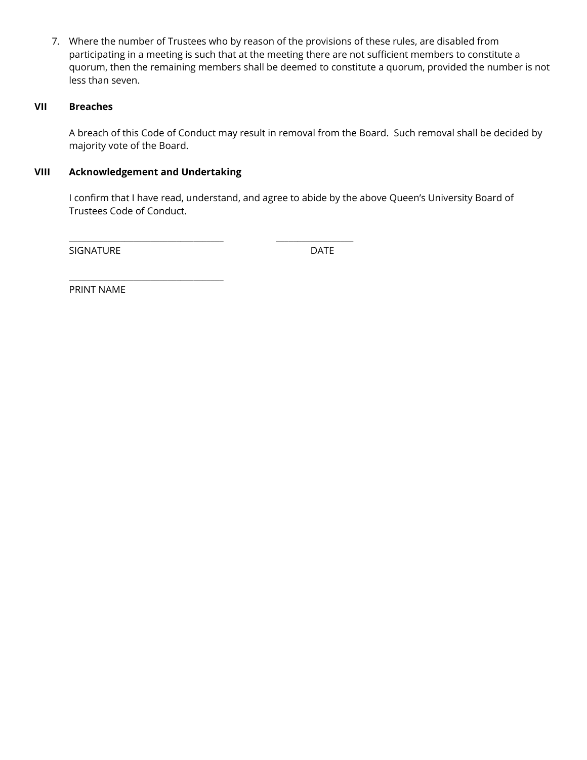7. Where the number of Trustees who by reason of the provisions of these rules, are disabled from participating in a meeting is such that at the meeting there are not sufficient members to constitute a quorum, then the remaining members shall be deemed to constitute a quorum, provided the number is not less than seven.

# **VII Breaches**

A breach of this Code of Conduct may result in removal from the Board. Such removal shall be decided by majority vote of the Board.

## **VIII Acknowledgement and Undertaking**

\_\_\_\_\_\_\_\_\_\_\_\_\_\_\_\_\_\_\_\_\_\_\_\_\_\_\_\_\_\_\_\_\_\_\_\_

\_\_\_\_\_\_\_\_\_\_\_\_\_\_\_\_\_\_\_\_\_\_\_\_\_\_\_\_\_\_\_\_\_\_\_\_ \_\_\_\_\_\_\_\_\_\_\_\_\_\_\_\_\_\_

I confirm that I have read, understand, and agree to abide by the above Queen's University Board of Trustees Code of Conduct.

SIGNATURE DATE

PRINT NAME